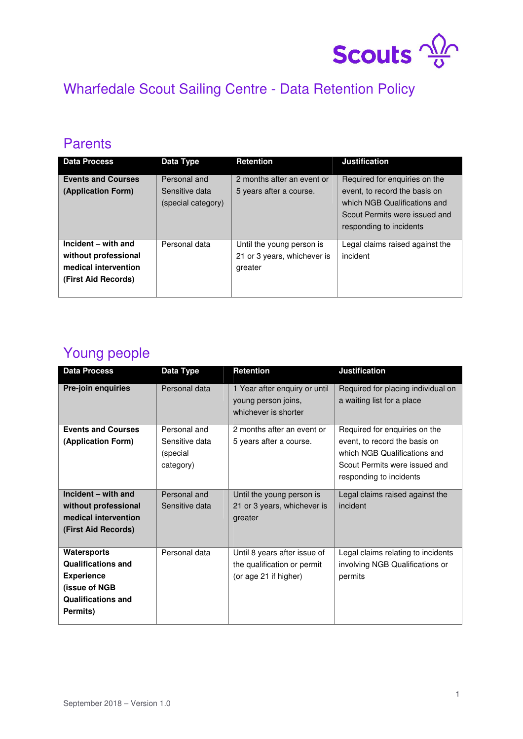

# Wharfedale Scout Sailing Centre - Data Retention Policy

## **Parents**

| <b>Data Process</b>                                                                        | Data Type                                            | <b>Retention</b>                                                    | <b>Justification</b>                                                                                                                                       |
|--------------------------------------------------------------------------------------------|------------------------------------------------------|---------------------------------------------------------------------|------------------------------------------------------------------------------------------------------------------------------------------------------------|
| <b>Events and Courses</b><br>(Application Form)                                            | Personal and<br>Sensitive data<br>(special category) | 2 months after an event or<br>5 years after a course.               | Required for enquiries on the<br>event, to record the basis on<br>which NGB Qualifications and<br>Scout Permits were issued and<br>responding to incidents |
| Incident - with and<br>without professional<br>medical intervention<br>(First Aid Records) | Personal data                                        | Until the young person is<br>21 or 3 years, whichever is<br>greater | Legal claims raised against the<br>incident                                                                                                                |

## Young people

| <b>Data Process</b>       | Data Type                               | <b>Retention</b>                                                             | <b>Justification</b>                                                                                                      |
|---------------------------|-----------------------------------------|------------------------------------------------------------------------------|---------------------------------------------------------------------------------------------------------------------------|
| Pre-join enquiries        | Personal data                           | 1 Year after enquiry or until<br>young person joins,<br>whichever is shorter | Required for placing individual on<br>a waiting list for a place                                                          |
| <b>Events and Courses</b> | Personal and                            | 2 months after an event or                                                   | Required for enquiries on the                                                                                             |
| (Application Form)        | Sensitive data<br>(special<br>category) | 5 years after a course.                                                      | event, to record the basis on<br>which NGB Qualifications and<br>Scout Permits were issued and<br>responding to incidents |
| Incident - with and       | Personal and                            | Until the young person is                                                    | Legal claims raised against the                                                                                           |
| without professional      | Sensitive data                          | 21 or 3 years, whichever is                                                  | incident                                                                                                                  |
| medical intervention      |                                         | greater                                                                      |                                                                                                                           |
| (First Aid Records)       |                                         |                                                                              |                                                                                                                           |
| Watersports               | Personal data                           | Until 8 years after issue of                                                 | Legal claims relating to incidents                                                                                        |
| <b>Qualifications and</b> |                                         | the qualification or permit                                                  | involving NGB Qualifications or                                                                                           |
| <b>Experience</b>         |                                         | (or age 21 if higher)                                                        | permits                                                                                                                   |
| (issue of NGB             |                                         |                                                                              |                                                                                                                           |
| <b>Qualifications and</b> |                                         |                                                                              |                                                                                                                           |
| Permits)                  |                                         |                                                                              |                                                                                                                           |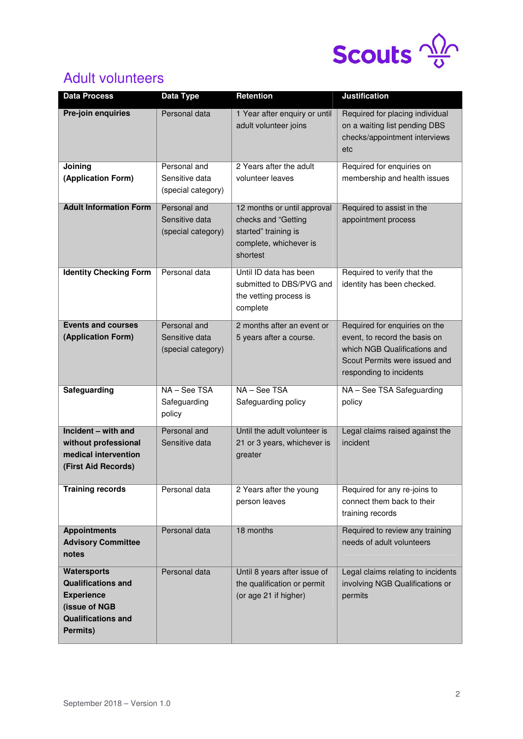

# Adult volunteers

| <b>Data Process</b>                                                                                                     | Data Type                                            | <b>Retention</b>                                                                                                 | <b>Justification</b>                                                                                                                                       |
|-------------------------------------------------------------------------------------------------------------------------|------------------------------------------------------|------------------------------------------------------------------------------------------------------------------|------------------------------------------------------------------------------------------------------------------------------------------------------------|
| Pre-join enquiries                                                                                                      | Personal data                                        | 1 Year after enquiry or until<br>adult volunteer joins                                                           | Required for placing individual<br>on a waiting list pending DBS<br>checks/appointment interviews<br>etc                                                   |
| Joining<br>(Application Form)                                                                                           | Personal and<br>Sensitive data<br>(special category) | 2 Years after the adult<br>volunteer leaves                                                                      | Required for enquiries on<br>membership and health issues                                                                                                  |
| <b>Adult Information Form</b>                                                                                           | Personal and<br>Sensitive data<br>(special category) | 12 months or until approval<br>checks and "Getting<br>started" training is<br>complete, whichever is<br>shortest | Required to assist in the<br>appointment process                                                                                                           |
| <b>Identity Checking Form</b>                                                                                           | Personal data                                        | Until ID data has been<br>submitted to DBS/PVG and<br>the vetting process is<br>complete                         | Required to verify that the<br>identity has been checked.                                                                                                  |
| <b>Events and courses</b><br>(Application Form)                                                                         | Personal and<br>Sensitive data<br>(special category) | 2 months after an event or<br>5 years after a course.                                                            | Required for enquiries on the<br>event, to record the basis on<br>which NGB Qualifications and<br>Scout Permits were issued and<br>responding to incidents |
| Safeguarding                                                                                                            | NA - See TSA<br>Safeguarding<br>policy               | NA - See TSA<br>Safeguarding policy                                                                              | NA - See TSA Safeguarding<br>policy                                                                                                                        |
| Incident - with and<br>without professional<br>medical intervention<br>(First Aid Records)                              | Personal and<br>Sensitive data                       | Until the adult volunteer is<br>21 or 3 years, whichever is<br>greater                                           | Legal claims raised against the<br>incident                                                                                                                |
| <b>Training records</b>                                                                                                 | Personal data                                        | 2 Years after the young<br>person leaves                                                                         | Required for any re-joins to<br>connect them back to their<br>training records                                                                             |
| <b>Appointments</b><br><b>Advisory Committee</b><br>notes                                                               | Personal data                                        | 18 months                                                                                                        | Required to review any training<br>needs of adult volunteers                                                                                               |
| Watersports<br><b>Qualifications and</b><br><b>Experience</b><br>(issue of NGB<br><b>Qualifications and</b><br>Permits) | Personal data                                        | Until 8 years after issue of<br>the qualification or permit<br>(or age 21 if higher)                             | Legal claims relating to incidents<br>involving NGB Qualifications or<br>permits                                                                           |